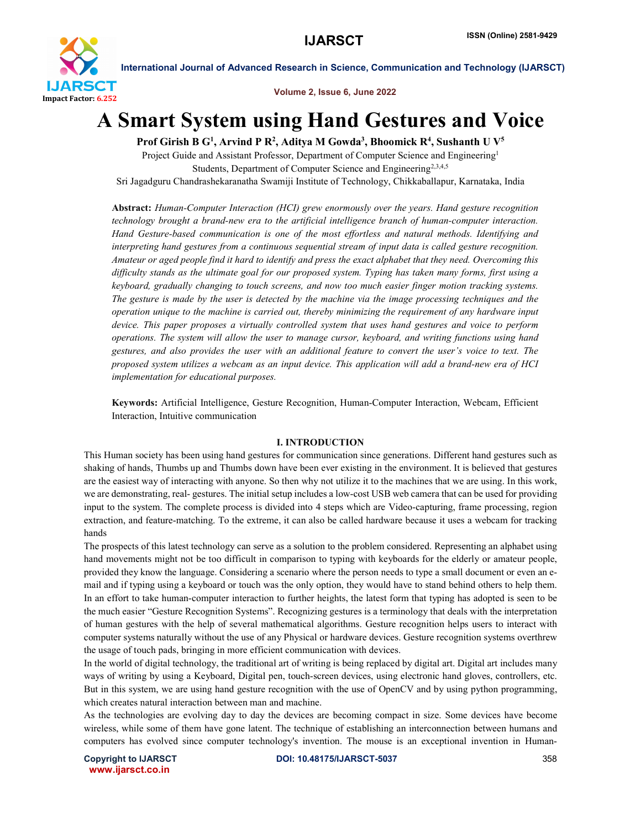

Volume 2, Issue 6, June 2022

# A Smart System using Hand Gestures and Voice

Prof Girish B G<sup>1</sup>, Arvind P R<sup>2</sup>, Aditya M Gowda<sup>3</sup>, Bhoomick R<sup>4</sup>, Sushanth U V<sup>5</sup>

Project Guide and Assistant Professor, Department of Computer Science and Engineering<sup>1</sup> Students, Department of Computer Science and Engineering<sup>2,3,4,5</sup> Sri Jagadguru Chandrashekaranatha Swamiji Institute of Technology, Chikkaballapur, Karnataka, India

Abstract: *Human-Computer Interaction (HCI) grew enormously over the years. Hand gesture recognition technology brought a brand-new era to the artificial intelligence branch of human-computer interaction. Hand Gesture-based communication is one of the most effortless and natural methods. Identifying and interpreting hand gestures from a continuous sequential stream of input data is called gesture recognition. Amateur or aged people find it hard to identify and press the exact alphabet that they need. Overcoming this difficulty stands as the ultimate goal for our proposed system. Typing has taken many forms, first using a keyboard, gradually changing to touch screens, and now too much easier finger motion tracking systems. The gesture is made by the user is detected by the machine via the image processing techniques and the operation unique to the machine is carried out, thereby minimizing the requirement of any hardware input device. This paper proposes a virtually controlled system that uses hand gestures and voice to perform operations. The system will allow the user to manage cursor, keyboard, and writing functions using hand gestures, and also provides the user with an additional feature to convert the user's voice to text. The proposed system utilizes a webcam as an input device. This application will add a brand-new era of HCI implementation for educational purposes.*

Keywords: Artificial Intelligence, Gesture Recognition, Human-Computer Interaction, Webcam, Efficient Interaction, Intuitive communication

# I. INTRODUCTION

This Human society has been using hand gestures for communication since generations. Different hand gestures such as shaking of hands, Thumbs up and Thumbs down have been ever existing in the environment. It is believed that gestures are the easiest way of interacting with anyone. So then why not utilize it to the machines that we are using. In this work, we are demonstrating, real- gestures. The initial setup includes a low-cost USB web camera that can be used for providing input to the system. The complete process is divided into 4 steps which are Video-capturing, frame processing, region extraction, and feature-matching. To the extreme, it can also be called hardware because it uses a webcam for tracking hands

The prospects of this latest technology can serve as a solution to the problem considered. Representing an alphabet using hand movements might not be too difficult in comparison to typing with keyboards for the elderly or amateur people, provided they know the language. Considering a scenario where the person needs to type a small document or even an email and if typing using a keyboard or touch was the only option, they would have to stand behind others to help them. In an effort to take human-computer interaction to further heights, the latest form that typing has adopted is seen to be the much easier "Gesture Recognition Systems". Recognizing gestures is a terminology that deals with the interpretation of human gestures with the help of several mathematical algorithms. Gesture recognition helps users to interact with computer systems naturally without the use of any Physical or hardware devices. Gesture recognition systems overthrew the usage of touch pads, bringing in more efficient communication with devices.

In the world of digital technology, the traditional art of writing is being replaced by digital art. Digital art includes many ways of writing by using a Keyboard, Digital pen, touch-screen devices, using electronic hand gloves, controllers, etc. But in this system, we are using hand gesture recognition with the use of OpenCV and by using python programming, which creates natural interaction between man and machine.

As the technologies are evolving day to day the devices are becoming compact in size. Some devices have become wireless, while some of them have gone latent. The technique of establishing an interconnection between humans and computers has evolved since computer technology's invention. The mouse is an exceptional invention in Human-

www.ijarsct.co.in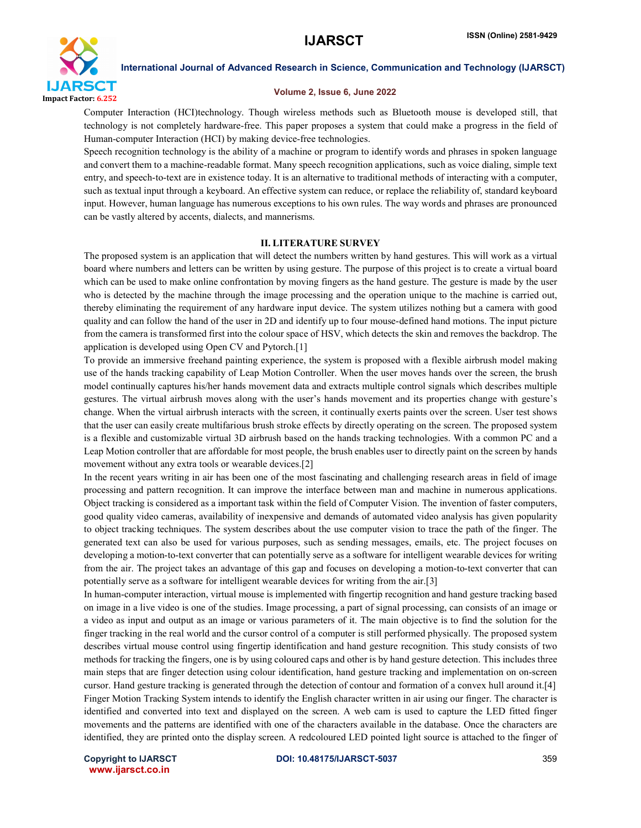

#### Volume 2, Issue 6, June 2022

Computer Interaction (HCI)technology. Though wireless methods such as Bluetooth mouse is developed still, that technology is not completely hardware-free. This paper proposes a system that could make a progress in the field of Human-computer Interaction (HCI) by making device-free technologies.

Speech recognition technology is the ability of a machine or program to identify words and phrases in spoken language and convert them to a machine-readable format. Many speech recognition applications, such as voice dialing, simple text entry, and speech-to-text are in existence today. It is an alternative to traditional methods of interacting with a computer, such as textual input through a keyboard. An effective system can reduce, or replace the reliability of, standard keyboard input. However, human language has numerous exceptions to his own rules. The way words and phrases are pronounced can be vastly altered by accents, dialects, and mannerisms.

# II. LITERATURE SURVEY

The proposed system is an application that will detect the numbers written by hand gestures. This will work as a virtual board where numbers and letters can be written by using gesture. The purpose of this project is to create a virtual board which can be used to make online confrontation by moving fingers as the hand gesture. The gesture is made by the user who is detected by the machine through the image processing and the operation unique to the machine is carried out, thereby eliminating the requirement of any hardware input device. The system utilizes nothing but a camera with good quality and can follow the hand of the user in 2D and identify up to four mouse-defined hand motions. The input picture from the camera is transformed first into the colour space of HSV, which detects the skin and removes the backdrop. The application is developed using Open CV and Pytorch.[1]

To provide an immersive freehand painting experience, the system is proposed with a flexible airbrush model making use of the hands tracking capability of Leap Motion Controller. When the user moves hands over the screen, the brush model continually captures his/her hands movement data and extracts multiple control signals which describes multiple gestures. The virtual airbrush moves along with the user's hands movement and its properties change with gesture's change. When the virtual airbrush interacts with the screen, it continually exerts paints over the screen. User test shows that the user can easily create multifarious brush stroke effects by directly operating on the screen. The proposed system is a flexible and customizable virtual 3D airbrush based on the hands tracking technologies. With a common PC and a Leap Motion controller that are affordable for most people, the brush enables user to directly paint on the screen by hands movement without any extra tools or wearable devices.[2]

In the recent years writing in air has been one of the most fascinating and challenging research areas in field of image processing and pattern recognition. It can improve the interface between man and machine in numerous applications. Object tracking is considered as a important task within the field of Computer Vision. The invention of faster computers, good quality video cameras, availability of inexpensive and demands of automated video analysis has given popularity to object tracking techniques. The system describes about the use computer vision to trace the path of the finger. The generated text can also be used for various purposes, such as sending messages, emails, etc. The project focuses on developing a motion-to-text converter that can potentially serve as a software for intelligent wearable devices for writing from the air. The project takes an advantage of this gap and focuses on developing a motion-to-text converter that can potentially serve as a software for intelligent wearable devices for writing from the air.[3]

In human-computer interaction, virtual mouse is implemented with fingertip recognition and hand gesture tracking based on image in a live video is one of the studies. Image processing, a part of signal processing, can consists of an image or a video as input and output as an image or various parameters of it. The main objective is to find the solution for the finger tracking in the real world and the cursor control of a computer is still performed physically. The proposed system describes virtual mouse control using fingertip identification and hand gesture recognition. This study consists of two methods for tracking the fingers, one is by using coloured caps and other is by hand gesture detection. This includes three main steps that are finger detection using colour identification, hand gesture tracking and implementation on on-screen cursor. Hand gesture tracking is generated through the detection of contour and formation of a convex hull around it.[4] Finger Motion Tracking System intends to identify the English character written in air using our finger. The character is identified and converted into text and displayed on the screen. A web cam is used to capture the LED fitted finger movements and the patterns are identified with one of the characters available in the database. Once the characters are identified, they are printed onto the display screen. A redcoloured LED pointed light source is attached to the finger of

www.ijarsct.co.in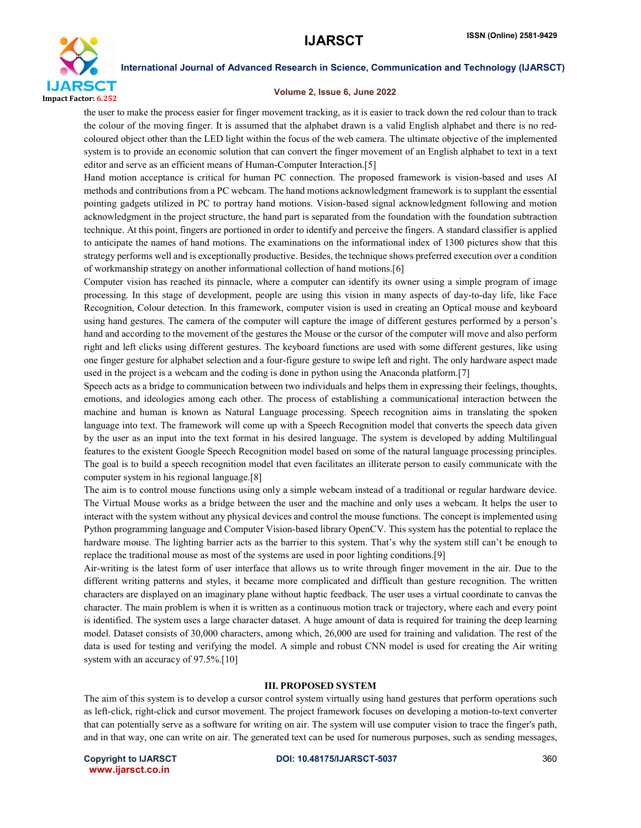

#### Volume 2, Issue 6, June 2022

the user to make the process easier for finger movement tracking, as it is easier to track down the red colour than to track the colour of the moving finger. It is assumed that the alphabet drawn is a valid English alphabet and there is no redcoloured object other than the LED light within the focus of the web camera. The ultimate objective of the implemented system is to provide an economic solution that can convert the finger movement of an English alphabet to text in a text editor and serve as an efficient means of Human-Computer Interaction.[5]

Hand motion acceptance is critical for human PC connection. The proposed framework is vision-based and uses AI methods and contributions from a PC webcam. The hand motions acknowledgment framework is to supplant the essential pointing gadgets utilized in PC to portray hand motions. Vision-based signal acknowledgment following and motion acknowledgment in the project structure, the hand part is separated from the foundation with the foundation subtraction technique. At this point, fingers are portioned in order to identify and perceive the fingers. A standard classifier is applied to anticipate the names of hand motions. The examinations on the informational index of 1300 pictures show that this strategy performs well and is exceptionally productive. Besides, the technique shows preferred execution over a condition of workmanship strategy on another informational collection of hand motions.[6]

Computer vision has reached its pinnacle, where a computer can identify its owner using a simple program of image processing. In this stage of development, people are using this vision in many aspects of day-to-day life, like Face Recognition, Colour detection. In this framework, computer vision is used in creating an Optical mouse and keyboard using hand gestures. The camera of the computer will capture the image of different gestures performed by a person's hand and according to the movement of the gestures the Mouse or the cursor of the computer will move and also perform right and left clicks using different gestures. The keyboard functions are used with some different gestures, like using one finger gesture for alphabet selection and a four-figure gesture to swipe left and right. The only hardware aspect made used in the project is a webcam and the coding is done in python using the Anaconda platform.[7]

Speech acts as a bridge to communication between two individuals and helps them in expressing their feelings, thoughts, emotions, and ideologies among each other. The process of establishing a communicational interaction between the machine and human is known as Natural Language processing. Speech recognition aims in translating the spoken language into text. The framework will come up with a Speech Recognition model that converts the speech data given by the user as an input into the text format in his desired language. The system is developed by adding Multilingual features to the existent Google Speech Recognition model based on some of the natural language processing principles. The goal is to build a speech recognition model that even facilitates an illiterate person to easily communicate with the computer system in his regional language.[8]

The aim is to control mouse functions using only a simple webcam instead of a traditional or regular hardware device. The Virtual Mouse works as a bridge between the user and the machine and only uses a webcam. It helps the user to interact with the system without any physical devices and control the mouse functions. The concept is implemented using Python programming language and Computer Vision-based library OpenCV. This system has the potential to replace the hardware mouse. The lighting barrier acts as the barrier to this system. That's why the system still can't be enough to replace the traditional mouse as most of the systems are used in poor lighting conditions.[9]

Air-writing is the latest form of user interface that allows us to write through finger movement in the air. Due to the different writing patterns and styles, it became more complicated and difficult than gesture recognition. The written characters are displayed on an imaginary plane without haptic feedback. The user uses a virtual coordinate to canvas the character. The main problem is when it is written as a continuous motion track or trajectory, where each and every point is identified. The system uses a large character dataset. A huge amount of data is required for training the deep learning model. Dataset consists of 30,000 characters, among which, 26,000 are used for training and validation. The rest of the data is used for testing and verifying the model. A simple and robust CNN model is used for creating the Air writing system with an accuracy of 97.5%.[10]

#### III. PROPOSED SYSTEM

The aim of this system is to develop a cursor control system virtually using hand gestures that perform operations such as left-click, right-click and cursor movement. The project framework focuses on developing a motion-to-text converter that can potentially serve as a software for writing on air. The system will use computer vision to trace the finger's path, and in that way, one can write on air. The generated text can be used for numerous purposes, such as sending messages,

www.ijarsct.co.in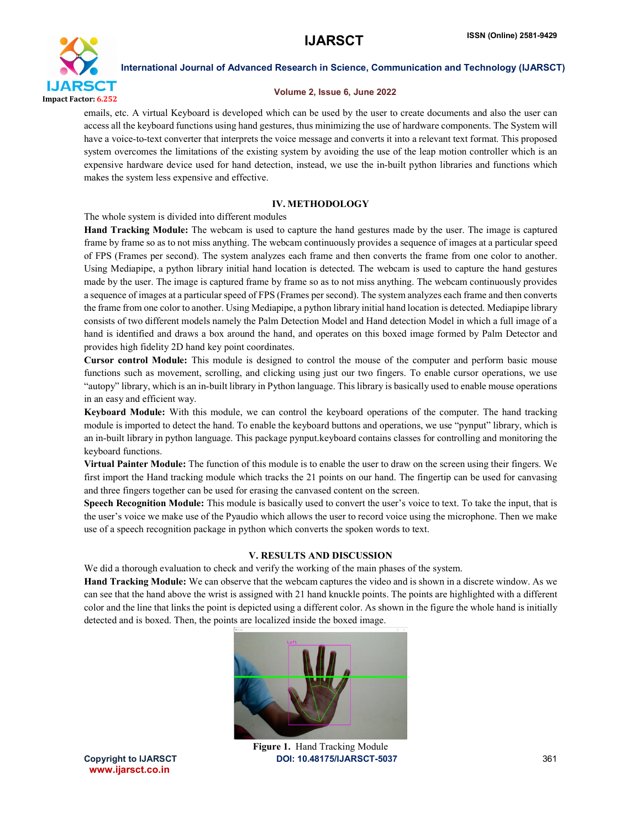

#### Volume 2, Issue 6, June 2022

emails, etc. A virtual Keyboard is developed which can be used by the user to create documents and also the user can access all the keyboard functions using hand gestures, thus minimizing the use of hardware components. The System will have a voice-to-text converter that interprets the voice message and converts it into a relevant text format. This proposed system overcomes the limitations of the existing system by avoiding the use of the leap motion controller which is an expensive hardware device used for hand detection, instead, we use the in-built python libraries and functions which makes the system less expensive and effective.

# IV. METHODOLOGY

The whole system is divided into different modules

Hand Tracking Module: The webcam is used to capture the hand gestures made by the user. The image is captured frame by frame so as to not miss anything. The webcam continuously provides a sequence of images at a particular speed of FPS (Frames per second). The system analyzes each frame and then converts the frame from one color to another. Using Mediapipe, a python library initial hand location is detected. The webcam is used to capture the hand gestures made by the user. The image is captured frame by frame so as to not miss anything. The webcam continuously provides a sequence of images at a particular speed of FPS (Frames per second). The system analyzes each frame and then converts the frame from one color to another. Using Mediapipe, a python library initial hand location is detected. Mediapipe library consists of two different models namely the Palm Detection Model and Hand detection Model in which a full image of a hand is identified and draws a box around the hand, and operates on this boxed image formed by Palm Detector and provides high fidelity 2D hand key point coordinates.

Cursor control Module: This module is designed to control the mouse of the computer and perform basic mouse functions such as movement, scrolling, and clicking using just our two fingers. To enable cursor operations, we use "autopy" library, which is an in-built library in Python language. This library is basically used to enable mouse operations in an easy and efficient way.

Keyboard Module: With this module, we can control the keyboard operations of the computer. The hand tracking module is imported to detect the hand. To enable the keyboard buttons and operations, we use "pynput" library, which is an in-built library in python language. This package pynput.keyboard contains classes for controlling and monitoring the keyboard functions.

Virtual Painter Module: The function of this module is to enable the user to draw on the screen using their fingers. We first import the Hand tracking module which tracks the 21 points on our hand. The fingertip can be used for canvasing and three fingers together can be used for erasing the canvased content on the screen.

Speech Recognition Module: This module is basically used to convert the user's voice to text. To take the input, that is the user's voice we make use of the Pyaudio which allows the user to record voice using the microphone. Then we make use of a speech recognition package in python which converts the spoken words to text.

# V. RESULTS AND DISCUSSION

We did a thorough evaluation to check and verify the working of the main phases of the system.

Hand Tracking Module: We can observe that the webcam captures the video and is shown in a discrete window. As we can see that the hand above the wrist is assigned with 21 hand knuckle points. The points are highlighted with a different color and the line that links the point is depicted using a different color. As shown in the figure the whole hand is initially detected and is boxed. Then, the points are localized inside the boxed image.



www.ijarsct.co.in

Copyright to IJARSCT **DOI: 10.48175/IJARSCT-5037** 361 Figure 1. Hand Tracking Module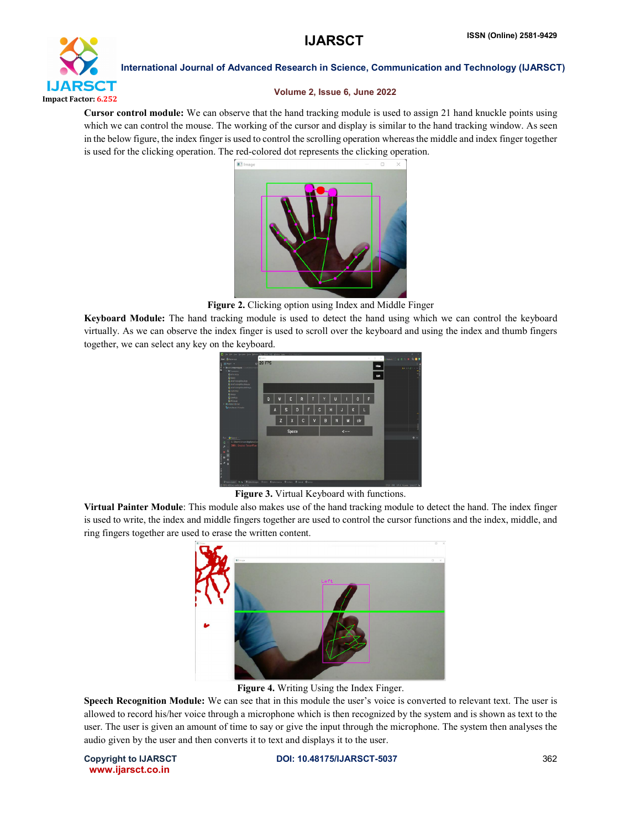

# Volume 2, Issue 6, June 2022

Cursor control module: We can observe that the hand tracking module is used to assign 21 hand knuckle points using which we can control the mouse. The working of the cursor and display is similar to the hand tracking window. As seen in the below figure, the index finger is used to control the scrolling operation whereas the middle and index finger together is used for the clicking operation. The red-colored dot represents the clicking operation.



Figure 2. Clicking option using Index and Middle Finger

Keyboard Module: The hand tracking module is used to detect the hand using which we can control the keyboard virtually. As we can observe the index finger is used to scroll over the keyboard and using the index and thumb fingers together, we can select any key on the keyboard.



Figure 3. Virtual Keyboard with functions.

Virtual Painter Module: This module also makes use of the hand tracking module to detect the hand. The index finger is used to write, the index and middle fingers together are used to control the cursor functions and the index, middle, and ring fingers together are used to erase the written content.



Figure 4. Writing Using the Index Finger.

Speech Recognition Module: We can see that in this module the user's voice is converted to relevant text. The user is allowed to record his/her voice through a microphone which is then recognized by the system and is shown as text to the user. The user is given an amount of time to say or give the input through the microphone. The system then analyses the audio given by the user and then converts it to text and displays it to the user.

www.ijarsct.co.in

Copyright to IJARSCT **DOI: 10.48175/IJARSCT-5037** 362